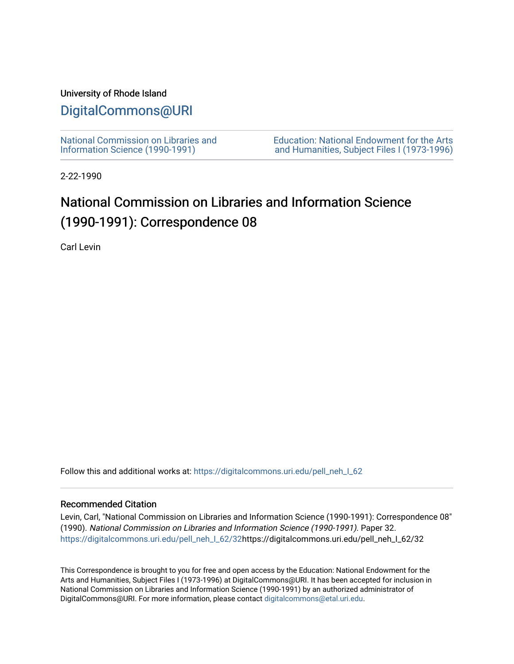### University of Rhode Island

### [DigitalCommons@URI](https://digitalcommons.uri.edu/)

[National Commission on Libraries and](https://digitalcommons.uri.edu/pell_neh_I_62) [Information Science \(1990-1991\)](https://digitalcommons.uri.edu/pell_neh_I_62) 

[Education: National Endowment for the Arts](https://digitalcommons.uri.edu/pell_neh_I)  [and Humanities, Subject Files I \(1973-1996\)](https://digitalcommons.uri.edu/pell_neh_I) 

2-22-1990

## National Commission on Libraries and Information Science (1990-1991): Correspondence 08

Carl Levin

Follow this and additional works at: https://digitalcommons.uri.edu/pell\_neh\_I\_62

#### Recommended Citation

Levin, Carl, "National Commission on Libraries and Information Science (1990-1991): Correspondence 08" (1990). National Commission on Libraries and Information Science (1990-1991). Paper 32. [https://digitalcommons.uri.edu/pell\\_neh\\_I\\_62/32h](https://digitalcommons.uri.edu/pell_neh_I_62/32?utm_source=digitalcommons.uri.edu%2Fpell_neh_I_62%2F32&utm_medium=PDF&utm_campaign=PDFCoverPages)ttps://digitalcommons.uri.edu/pell\_neh\_I\_62/32

This Correspondence is brought to you for free and open access by the Education: National Endowment for the Arts and Humanities, Subject Files I (1973-1996) at DigitalCommons@URI. It has been accepted for inclusion in National Commission on Libraries and Information Science (1990-1991) by an authorized administrator of DigitalCommons@URI. For more information, please contact [digitalcommons@etal.uri.edu.](mailto:digitalcommons@etal.uri.edu)